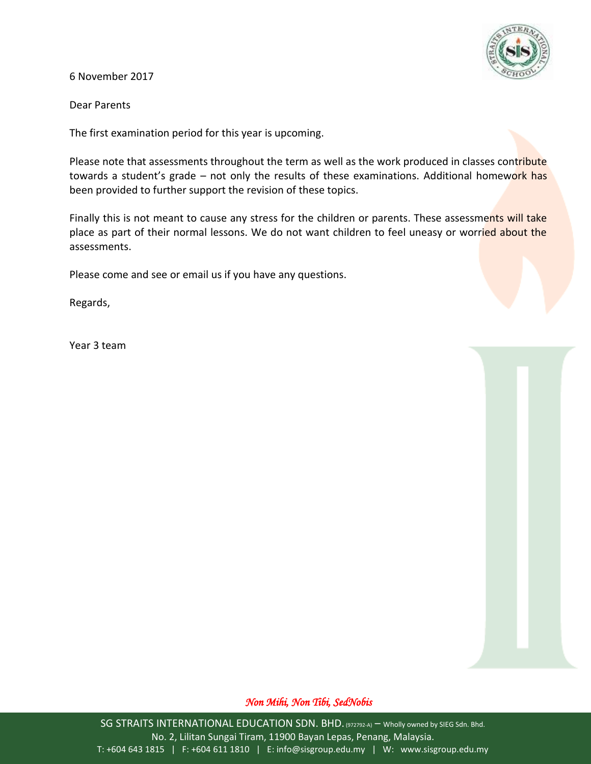

6 November 2017

Dear Parents

The first examination period for this year is upcoming.

Please note that assessments throughout the term as well as the work produced in classes contribute towards a student's grade – not only the results of these examinations. Additional homework has been provided to further support the revision of these topics.

Finally this is not meant to cause any stress for the children or parents. These assessments will take place as part of their normal lessons. We do not want children to feel uneasy or worried about the assessments.

Please come and see or email us if you have any questions.

Regards,

Year 3 team

## *Non Mihi, Non Tibi, SedNobis*

SG STRAITS INTERNATIONAL EDUCATION SDN. BHD. (972792-A) - Wholly owned by SIEG Sdn. Bhd. No. 2, Lilitan Sungai Tiram, 11900 Bayan Lepas, Penang, Malaysia. T: +604 643 1815 | F: +604 611 1810 | E: info@sisgroup.edu.my | W: www.sisgroup.edu.my